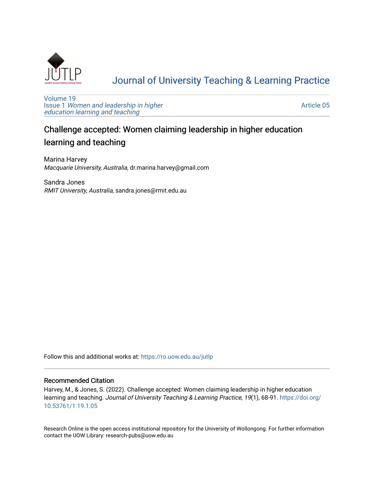

# [Journal of University Teaching & Learning Practice](https://ro.uow.edu.au/jutlp)

[Volume 19](https://ro.uow.edu.au/jutlp/vol19) Issue 1 [Women and leadership in higher](https://ro.uow.edu.au/jutlp/vol19/iss1) [education learning and teaching](https://ro.uow.edu.au/jutlp/vol19/iss1)

[Article 05](https://ro.uow.edu.au/jutlp/vol19/iss1/05) 

# Challenge accepted: Women claiming leadership in higher education learning and teaching

Marina Harvey Macquarie University, Australia, dr.marina.harvey@gmail.com

Sandra Jones RMIT University, Australia, sandra.jones@rmit.edu.au

Follow this and additional works at: [https://ro.uow.edu.au/jutlp](https://ro.uow.edu.au/jutlp?utm_source=ro.uow.edu.au%2Fjutlp%2Fvol19%2Fiss1%2F05&utm_medium=PDF&utm_campaign=PDFCoverPages) 

## Recommended Citation

Harvey, M., & Jones, S. (2022). Challenge accepted: Women claiming leadership in higher education learning and teaching. Journal of University Teaching & Learning Practice, 19(1), 68-91. [https://doi.org/](https://doi.org/10.53761/1.19.1.05) [10.53761/1.19.1.05](https://doi.org/10.53761/1.19.1.05) 

Research Online is the open access institutional repository for the University of Wollongong. For further information contact the UOW Library: research-pubs@uow.edu.au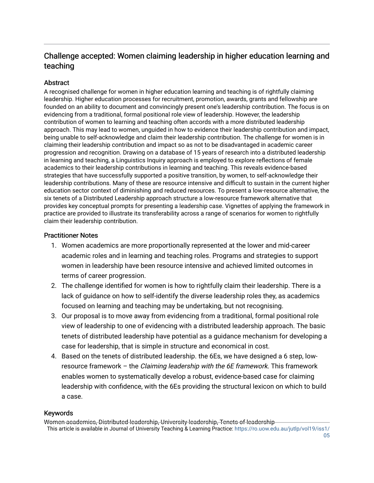# Challenge accepted: Women claiming leadership in higher education learning and teaching

# **Abstract**

A recognised challenge for women in higher education learning and teaching is of rightfully claiming leadership. Higher education processes for recruitment, promotion, awards, grants and fellowship are founded on an ability to document and convincingly present one's leadership contribution. The focus is on evidencing from a traditional, formal positional role view of leadership. However, the leadership contribution of women to learning and teaching often accords with a more distributed leadership approach. This may lead to women, unguided in how to evidence their leadership contribution and impact, being unable to self-acknowledge and claim their leadership contribution. The challenge for women is in claiming their leadership contribution and impact so as not to be disadvantaged in academic career progression and recognition. Drawing on a database of 15 years of research into a distributed leadership in learning and teaching, a Linguistics Inquiry approach is employed to explore reflections of female academics to their leadership contributions in learning and teaching. This reveals evidence-based strategies that have successfully supported a positive transition, by women, to self-acknowledge their leadership contributions. Many of these are resource intensive and difficult to sustain in the current higher education sector context of diminishing and reduced resources. To present a low-resource alternative, the six tenets of a Distributed Leadership approach structure a low-resource framework alternative that provides key conceptual prompts for presenting a leadership case. Vignettes of applying the framework in practice are provided to illustrate its transferability across a range of scenarios for women to rightfully claim their leadership contribution.

# Practitioner Notes

- 1. Women academics are more proportionally represented at the lower and mid-career academic roles and in learning and teaching roles. Programs and strategies to support women in leadership have been resource intensive and achieved limited outcomes in terms of career progression.
- 2. The challenge identified for women is how to rightfully claim their leadership. There is a lack of guidance on how to self-identify the diverse leadership roles they, as academics focused on learning and teaching may be undertaking, but not recognising.
- 3. Our proposal is to move away from evidencing from a traditional, formal positional role view of leadership to one of evidencing with a distributed leadership approach. The basic tenets of distributed leadership have potential as a guidance mechanism for developing a case for leadership, that is simple in structure and economical in cost.
- 4. Based on the tenets of distributed leadership. the 6Es, we have designed a 6 step, lowresource framework – the *Claiming leadership with the 6E framework*. This framework enables women to systematically develop a robust, evidence-based case for claiming leadership with confidence, with the 6Es providing the structural lexicon on which to build a case.

# Keywords

Women academics, Distributed leadership, University leadership, Tenets of leadership This article is available in Journal of University Teaching & Learning Practice: [https://ro.uow.edu.au/jutlp/vol19/iss1/](https://ro.uow.edu.au/jutlp/vol19/iss1/05)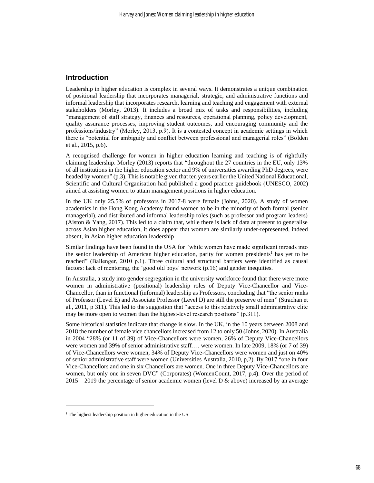## **Introduction**

Leadership in higher education is complex in several ways. It demonstrates a unique combination of positional leadership that incorporates managerial, strategic, and administrative functions and informal leadership that incorporates research, learning and teaching and engagement with external stakeholders (Morley, 2013). It includes a broad mix of tasks and responsibilities, including "management of staff strategy, finances and resources, operational planning, policy development, quality assurance processes, improving student outcomes, and encouraging community and the professions/industry" (Morley, 2013, p.9). It is a contested concept in academic settings in which there is "potential for ambiguity and conflict between professional and managerial roles" (Bolden et al., 2015, p.6).

A recognised challenge for women in higher education learning and teaching is of rightfully claiming leadership. Morley (2013) reports that "throughout the 27 countries in the EU, only 13% of all institutions in the higher education sector and 9% of universities awarding PhD degrees, were headed by women" (p.3). This is notable given that ten years earlier the United National Educational, Scientific and Cultural Organisation had published a good practice guidebook (UNESCO, 2002) aimed at assisting women to attain management positions in higher education.

In the UK only 25.5% of professors in 2017-8 were female (Johns, 2020). A study of women academics in the Hong Kong Academy found women to be in the minority of both formal (senior managerial), and distributed and informal leadership roles (such as professor and program leaders) (Aiston & Yang, 2017). This led to a claim that, while there is lack of data at present to generalise across Asian higher education, it does appear that women are similarly under-represented, indeed absent, in Asian higher education leadership

Similar findings have been found in the USA for "while women have made significant inroads into the senior leadership of American higher education, parity for women presidents<sup>1</sup> has yet to be reached" (Ballenger, 2010 p.1). Three cultural and structural barriers were identified as causal factors: lack of mentoring, the 'good old boys' network (p.16) and gender inequities.

In Australia, a study into gender segregation in the university workforce found that there were more women in administrative (positional) leadership roles of Deputy Vice-Chancellor and Vice-Chancellor, than in functional (informal) leadership as Professors, concluding that "the senior ranks of Professor (Level E) and Associate Professor (Level D) are still the preserve of men" (Strachan et al., 2011, p 311). This led to the suggestion that "access to this relatively small administrative elite may be more open to women than the highest-level research positions" (p.311).

Some historical statistics indicate that change is slow. In the UK, in the 10 years between 2008 and 2018 the number of female vice chancellors increased from 12 to only 50 (Johns, 2020). In Australia in 2004 "28% (or 11 of 39) of Vice-Chancellors were women, 26% of Deputy Vice-Chancellors were women and 39% of senior administrative staff…. were women. In late 2009, 18% (or 7 of 39) of Vice-Chancellors were women, 34% of Deputy Vice-Chancellors were women and just on 40% of senior administrative staff were women (Universities Australia, 2010, p,2). By 2017 "one in four Vice-Chancellors and one in six Chancellors are women. One in three Deputy Vice-Chancellors are women, but only one in seven DVC" (Corporates) (WomenCount, 2017, p.4). Over the period of  $2015 - 2019$  the percentage of senior academic women (level D & above) increased by an average

<sup>&</sup>lt;sup>1</sup> The highest leadership position in higher education in the US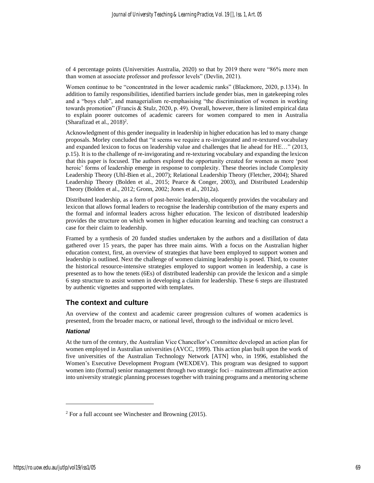of 4 percentage points (Universities Australia, 2020) so that by 2019 there were "86% more men than women at associate professor and professor levels" (Devlin, 2021).

Women continue to be "concentrated in the lower academic ranks" (Blackmore, 2020, p.1334). In addition to family responsibilities, identified barriers include gender bias, men in gatekeeping roles and a "boys club", and managerialism re-emphasising "the discrimination of women in working towards promotion" (Francis & Stulz, 2020, p. 49). Overall, however, there is limited empirical data to explain poorer outcomes of academic careers for women compared to men in Australia (Sharafizad et al.,  $2018$ )<sup>2</sup>.

Acknowledgment of this gender inequality in leadership in higher education has led to many change proposals. Morley concluded that "it seems we require a re-invigorated and re-textured vocabulary and expanded lexicon to focus on leadership value and challenges that lie ahead for HE…" (2013, p.15). It is to the challenge of re-invigorating and re-texturing vocabulary and expanding the lexicon that this paper is focused. The authors explored the opportunity created for women as more 'post heroic' forms of leadership emerge in response to complexity. These theories include Complexity Leadership Theory (Uhl-Bien et al., 2007); Relational Leadership Theory (Fletcher, 2004); Shared Leadership Theory (Bolden et al., 2015; Pearce & Conger, 2003), and Distributed Leadership Theory (Bolden et al., 2012; Gronn, 2002; Jones et al., 2012a).

Distributed leadership, as a form of post-heroic leadership, eloquently provides the vocabulary and lexicon that allows formal leaders to recognise the leadership contribution of the many experts and the formal and informal leaders across higher education. The lexicon of distributed leadership provides the structure on which women in higher education learning and teaching can construct a case for their claim to leadership.

Framed by a synthesis of 20 funded studies undertaken by the authors and a distillation of data gathered over 15 years, the paper has three main aims. With a focus on the Australian higher education context, first, an overview of strategies that have been employed to support women and leadership is outlined. Next the challenge of women claiming leadership is posed. Third, to counter the historical resource-intensive strategies employed to support women in leadership, a case is presented as to how the tenets (6Es) of distributed leadership can provide the lexicon and a simple 6 step structure to assist women in developing a claim for leadership. These 6 steps are illustrated by authentic vignettes and supported with templates.

## **The context and culture**

An overview of the context and academic career progression cultures of women academics is presented, from the broader macro, or national level, through to the individual or micro level.

#### *National*

At the turn of the century, the Australian Vice Chancellor's Committee developed an action plan for women employed in Australian universities (AVCC, 1999). This action plan built upon the work of five universities of the Australian Technology Network [ATN] who, in 1996, established the Women's Executive Development Program (WEXDEV). This program was designed to support women into (formal) senior management through two strategic foci – mainstream affirmative action into university strategic planning processes together with training programs and a mentoring scheme

 $2$  For a full account see Winchester and Browning (2015).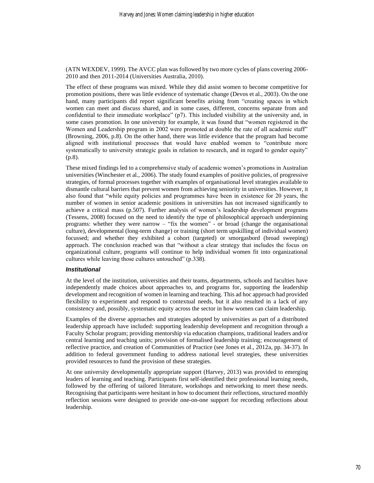(ATN WEXDEV, 1999). The AVCC plan was followed by two more cycles of plans covering 2006- 2010 and then 2011-2014 (Universities Australia, 2010).

The effect of these programs was mixed. While they did assist women to become competitive for promotion positions, there was little evidence of systematic change (Devos et al., 2003). On the one hand, many participants did report significant benefits arising from "creating spaces in which women can meet and discuss shared, and in some cases, different, concerns separate from and confidential to their immediate workplace" (p7). This included visibility at the university and, in some cases promotion. In one university for example, it was found that "women registered in the Women and Leadership program in 2002 were promoted at double the rate of all academic staff" (Browning, 2006, p.8). On the other hand, there was little evidence that the program had become aligned with institutional processes that would have enabled women to "contribute more systematically to university strategic goals in relation to research, and in regard to gender equity" (p.8).

These mixed findings led to a comprehensive study of academic women's promotions in Australian universities (Winchester et al., 2006). The study found examples of positive policies, of progressive strategies, of formal processes together with examples of organisational level strategies available to dismantle cultural barriers that prevent women from achieving seniority in universities. However, it also found that "while equity policies and programmes have been in existence for 20 years, the number of women in senior academic positions in universities has not increased significantly to achieve a critical mass (p.507). Further analysis of women's leadership development programs (Tessens, 2008) focused on the need to identify the type of philosophical approach underpinning programs: whether they were narrow – "fix the women" - or broad (change the organisational culture), developmental (long-term change) or training (short term upskilling of individual women) focussed; and whether they exhibited a cohort (targeted) or smorgasbord (broad sweeping) approach. The conclusion reached was that "without a clear strategy that includes the focus on organizational culture, programs will continue to help individual women fit into organizational cultures while leaving those cultures untouched" (p.338).

## *Institutional*

At the level of the institution, universities and their teams, departments, schools and faculties have independently made choices about approaches to, and programs for, supporting the leadership development and recognition of women in learning and teaching. This ad hoc approach had provided flexibility to experiment and respond to contextual needs, but it also resulted in a lack of any consistency and, possibly, systematic equity across the sector in how women can claim leadership.

Examples of the diverse approaches and strategies adopted by universities as part of a distributed leadership approach have included: supporting leadership development and recognition through a Faculty Scholar program; providing mentorship via education champions, traditional leaders and/or central learning and teaching units; provision of formalised leadership training; encouragement of reflective practice, and creation of Communities of Practice (see Jones et al., 2012a, pp. 34-37). In addition to federal government funding to address national level strategies, these universities provided resources to fund the provision of these strategies.

At one university developmentally appropriate support (Harvey, 2013) was provided to emerging leaders of learning and teaching. Participants first self-identified their professional learning needs, followed by the offering of tailored literature, workshops and networking to meet these needs. Recognising that participants were hesitant in how to document their reflections, structured monthly reflection sessions were designed to provide one-on-one support for recording reflections about leadership.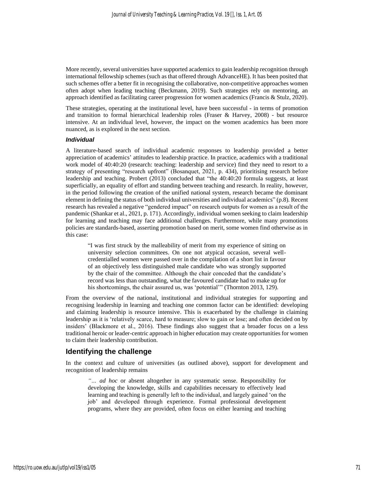More recently, several universities have supported academics to gain leadership recognition through international fellowship schemes (such as that offered through AdvanceHE). It has been posited that such schemes offer a better fit in recognising the collaborative, non-competitive approaches women often adopt when leading teaching (Beckmann, 2019). Such strategies rely on mentoring, an approach identified as facilitating career progression for women academics (Francis & Stulz, 2020).

These strategies, operating at the institutional level, have been successful - in terms of promotion and transition to formal hierarchical leadership roles (Fraser & Harvey, 2008) - but resource intensive. At an individual level, however, the impact on the women academics has been more nuanced, as is explored in the next section.

#### *Individual*

A literature-based search of individual academic responses to leadership provided a better appreciation of academics' attitudes to leadership practice. In practice, academics with a traditional work model of 40:40:20 (research: teaching: leadership and service) find they need to resort to a strategy of presenting "research upfront" (Bosanquet, 2021, p. 434), prioritising research before leadership and teaching. Probert (2013) concluded that "the 40:40:20 formula suggests, at least superficially, an equality of effort and standing between teaching and research. In reality, however, in the period following the creation of the unified national system, research became the dominant element in defining the status of both individual universities and individual academics" (p.8). Recent research has revealed a negative "gendered impact" on research outputs for women as a result of the pandemic (Shankar et al., 2021, p. 171). Accordingly, individual women seeking to claim leadership for learning and teaching may face additional challenges. Furthermore, while many promotions policies are standards-based, asserting promotion based on merit, some women find otherwise as in this case:

"I was first struck by the malleability of merit from my experience of sitting on university selection committees. On one not atypical occasion, several wellcredentialled women were passed over in the compilation of a short list in favour of an objectively less distinguished male candidate who was strongly supported by the chair of the committee. Although the chair conceded that the candidate's record was less than outstanding, what the favoured candidate had to make up for his shortcomings, the chair assured us, was 'potential'" (Thornton 2013, 129).

From the overview of the national, institutional and individual strategies for supporting and recognising leadership in learning and teaching one common factor can be identified: developing and claiming leadership is resource intensive. This is exacerbated by the challenge in claiming leadership as it is 'relatively scarce, hard to measure; slow to gain or lose; and often decided on by insiders' (Blackmore et al., 2016). These findings also suggest that a broader focus on a less traditional heroic or leader-centric approach in higher education may create opportunities for women to claim their leadership contribution.

## **Identifying the challenge**

In the context and culture of universities (as outlined above), support for development and recognition of leadership remains

*"… ad hoc* or absent altogether in any systematic sense. Responsibility for developing the knowledge, skills and capabilities necessary to effectively lead learning and teaching is generally left to the individual, and largely gained 'on the job' and developed through experience. Formal professional development programs, where they are provided, often focus on either learning and teaching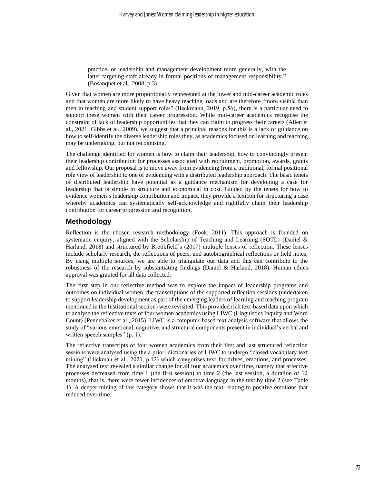practice, or leadership and management development more generally, with the latter targeting staff already in formal positions of management responsibility." (Bosanquet et al., 2008, p.3).

Given that women are more proportionally represented at the lower and mid-career academic roles and that women are more likely to have heavy teaching loads and are therefore "more visible than men in teaching and student support roles" (Beckmann, 2019, p.56), there is a particular need to support these women with their career progression. While mid-career academics recognise the constraint of lack of leadership opportunities that they can claim to progress their careers (Allen et al., 2021, Gibbs et al., 2009), we suggest that a principal reasons for this is a lack of guidance on how to self-identify the diverse leadership roles they, as academics focused on learning and teaching may be undertaking, but not recognising.

The challenge identified for women is how to claim their leadership, how to convincingly present their leadership contribution for processes associated with recruitment, promotion, awards, grants and fellowship. Our proposal is to move away from evidencing from a traditional, formal positional role view of leadership to one of evidencing with a distributed leadership approach. The basic tenets of distributed leadership have potential as a guidance mechanism for developing a case for leadership that is simple in structure and economical in cost. Guided by the tenets for how to evidence women's leadership contribution and impact, they provide a lexicon for structuring a case whereby academics can systematically self-acknowledge and rightfully claim their leadership contribution for career progression and recognition.

# **Methodology**

Reflection is the chosen research methodology (Fook, 2011). This approach is founded on systematic enquiry, aligned with the Scholarship of Teaching and Learning (SOTL) (Daniel  $\&$ Harland, 2018) and structured by Brookfield's (2017) multiple lenses of reflection. These lenses include scholarly research, the reflections of peers, and autobiographical reflections or field notes. By using multiple sources, we are able to triangulate our data and this can contribute to the robustness of the research by substantiating findings (Daniel & Harland, 2018). Human ethics approval was granted for all data collected.

The first step in our reflective method was to explore the impact of leadership programs and outcomes on individual women, the transcriptions of the supported reflection sessions (undertaken to support leadership development as part of the emerging leaders of learning and teaching program mentioned in the Institutional section) were revisited. This provided rich text-based data upon which to analyse the reflective texts of four women academics using LIWC (Linguistics Inquiry and Word Count) (Pennebaker et al., 2015). LIWC is a computer-based text analysis software that allows the study of "various emotional, cognitive, and structural components present in individual's verbal and written speech samples" (p. 1).

The reflective transcripts of four women academics from their first and last structured reflection sessions were analysed using the a priori dictionaries of LIWC to undergo "closed vocabulary text mining" (Hickman et al., 2020, p.12) which categorises text for drives, emotions, and processes. The analysed text revealed a similar change for all four academics over time, namely that affective processes decreased from time 1 (the first session) to time 2 (the last session, a duration of 12 months), that is, there were fewer incidences of emotive language in the text by time 2 (see Table 1). A deeper mining of this category shows that it was the text relating to positive emotions that reduced over time.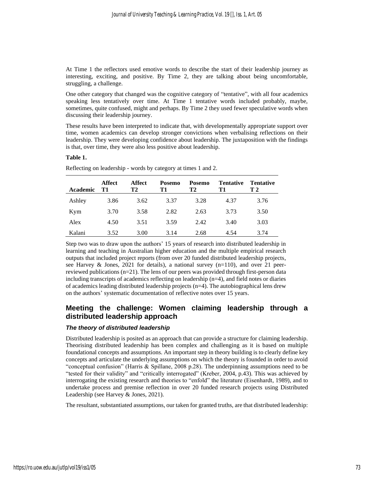At Time 1 the reflectors used emotive words to describe the start of their leadership journey as interesting, exciting, and positive. By Time 2, they are talking about being uncomfortable, struggling, a challenge.

One other category that changed was the cognitive category of "tentative", with all four academics speaking less tentatively over time. At Time 1 tentative words included probably, maybe, sometimes, quite confused, might and perhaps. By Time 2 they used fewer speculative words when discussing their leadership journey.

These results have been interpreted to indicate that, with developmentally appropriate support over time, women academics can develop stronger convictions when verbalising reflections on their leadership. They were developing confidence about leadership. The juxtaposition with the findings is that, over time, they were also less positive about leadership.

#### **Table 1.**

| Academic | <b>Affect</b><br>T1 | <b>Affect</b><br>T2 | Posemo<br>T1 | Posemo<br>Т2 | <b>Tentative</b><br>T1 | <b>Tentative</b><br>T 2 |
|----------|---------------------|---------------------|--------------|--------------|------------------------|-------------------------|
| Ashley   | 3.86                | 3.62                | 3.37         | 3.28         | 4.37                   | 3.76                    |
| Kym      | 3.70                | 3.58                | 2.82         | 2.63         | 3.73                   | 3.50                    |
| Alex     | 4.50                | 3.51                | 3.59         | 2.42         | 3.40                   | 3.03                    |
| Kalani   | 3.52                | 3.00                | 3.14         | 2.68         | 4.54                   | 3.74                    |

Reflecting on leadership - words by category at times 1 and 2.

Step two was to draw upon the authors' 15 years of research into distributed leadership in learning and teaching in Australian higher education and the multiple empirical research outputs that included project reports (from over 20 funded distributed leadership projects, see Harvey & Jones, 2021 for details), a national survey (n=110), and over 21 peerreviewed publications (n=21). The lens of our peers was provided through first-person data including transcripts of academics reflecting on leadership (n=4), and field notes or diaries of academics leading distributed leadership projects  $(n=4)$ . The autobiographical lens drew on the authors' systematic documentation of reflective notes over 15 years.

# **Meeting the challenge: Women claiming leadership through a distributed leadership approach**

#### *The theory of distributed leadership*

Distributed leadership is posited as an approach that can provide a structure for claiming leadership. Theorising distributed leadership has been complex and challenging as it is based on multiple foundational concepts and assumptions. An important step in theory building is to clearly define key concepts and articulate the underlying assumptions on which the theory is founded in order to avoid "conceptual confusion" (Harris & Spillane, 2008 p.28). The underpinning assumptions need to be "tested for their validity" and "critically interrogated" (Kreber, 2004, p.43). This was achieved by interrogating the existing research and theories to "enfold" the literature (Eisenhardt, 1989), and to undertake process and premise reflection in over 20 funded research projects using Distributed Leadership (see Harvey & Jones, 2021).

The resultant, substantiated assumptions, our taken for granted truths, are that distributed leadership: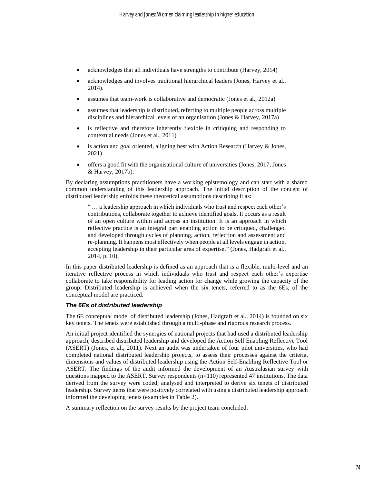- acknowledges that all individuals have strengths to contribute (Harvey, 2014)
- acknowledges and involves traditional hierarchical leaders (Jones, Harvey et al., 2014).
- assumes that team-work is collaborative and democratic (Jones et al., 2012a)
- assumes that leadership is distributed, referring to multiple people across multiple disciplines and hierarchical levels of an organisation (Jones & Harvey, 2017a)
- is reflective and therefore inherently flexible in critiquing and responding to contextual needs (Jones et al., 2011)
- is action and goal oriented, aligning best with Action Research (Harvey & Jones, 2021)
- offers a good fit with the organisational culture of universities (Jones, 2017; Jones & Harvey, 2017b).

By declaring assumptions practitioners have a working epistemology and can start with a shared common understanding of this leadership approach. The initial description of the concept of distributed leadership enfolds these theoretical assumptions describing it as:

" … a leadership approach in which individuals who trust and respect each other's contributions, collaborate together to achieve identified goals. It occurs as a result of an open culture within and across an institution. It is an approach in which reflective practice is an integral part enabling action to be critiqued, challenged and developed through cycles of planning, action, reflection and assessment and re-planning. It happens most effectively when people at all levels engage in action, accepting leadership in their particular area of expertise." (Jones, Hadgraft et al., 2014, p. 10).

In this paper distributed leadership is defined as an approach that is a flexible, multi-level and an iterative reflective process in which individuals who trust and respect each other's expertise collaborate to take responsibility for leading action for change while growing the capacity of the group. Distributed leadership is achieved when the six tenets, referred to as the 6Es, of the conceptual model are practiced.

# *The 6Es of distributed leadership*

The 6E conceptual model of distributed leadership (Jones, Hadgraft et al., 2014) is founded on six key tenets. The tenets were established through a multi-phase and rigorous research process.

An initial project identified the synergies of national projects that had used a distributed leadership approach, described distributed leadership and developed the Action Self Enabling Reflective Tool (ASERT) (Jones, et al., 2011). Next an audit was undertaken of four pilot universities, who had completed national distributed leadership projects, to assess their processes against the criteria, dimensions and values of distributed leadership using the Action Self-Enabling Reflective Tool or ASERT. The findings of the audit informed the development of an Australasian survey with questions mapped to the ASERT. Survey respondents (n=110) represented 47 institutions. The data derived from the survey were coded, analysed and interpreted to derive six tenets of distributed leadership. Survey items that were positively correlated with using a distributed leadership approach informed the developing tenets (examples in Table 2).

A summary reflection on the survey results by the project team concluded,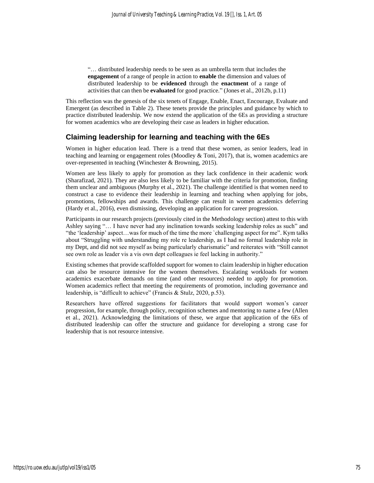"… distributed leadership needs to be seen as an umbrella term that includes the **engagement** of a range of people in action to **enable** the dimension and values of distributed leadership to be **evidenced** through the **enactment** of a range of activities that can then be **evaluated** for good practice." (Jones et al., 2012b, p.11)

This reflection was the genesis of the six tenets of Engage, Enable, Enact, Encourage, Evaluate and Emergent (as described in Table 2). These tenets provide the principles and guidance by which to practice distributed leadership. We now extend the application of the 6Es as providing a structure for women academics who are developing their case as leaders in higher education.

# **Claiming leadership for learning and teaching with the 6Es**

Women in higher education lead. There is a trend that these women, as senior leaders, lead in teaching and learning or engagement roles (Moodley & Toni, 2017), that is, women academics are over-represented in teaching (Winchester & Browning, 2015).

Women are less likely to apply for promotion as they lack confidence in their academic work (Sharafizad, 2021). They are also less likely to be familiar with the criteria for promotion, finding them unclear and ambiguous (Murphy et al., 2021). The challenge identified is that women need to construct a case to evidence their leadership in learning and teaching when applying for jobs, promotions, fellowships and awards. This challenge can result in women academics deferring (Hardy et al., 2016), even dismissing, developing an application for career progression.

Participants in our research projects (previously cited in the Methodology section) attest to this with Ashley saying "… I have never had any inclination towards seeking leadership roles as such" and "the 'leadership' aspect…was for much of the time the more `challenging aspect for me". Kym talks about "Struggling with understanding my role re leadership, as I had no formal leadership role in my Dept, and did not see myself as being particularly charismatic" and reiterates with "Still cannot see own role as leader vis a vis own dept colleagues ie feel lacking in authority."

Existing schemes that provide scaffolded support for women to claim leadership in higher education can also be resource intensive for the women themselves. Escalating workloads for women academics exacerbate demands on time (and other resources) needed to apply for promotion. Women academics reflect that meeting the requirements of promotion, including governance and leadership, is "difficult to achieve" (Francis & Stulz, 2020, p.53).

Researchers have offered suggestions for facilitators that would support women's career progression, for example, through policy, recognition schemes and mentoring to name a few (Allen et al., 2021). Acknowledging the limitations of these, we argue that application of the 6Es of distributed leadership can offer the structure and guidance for developing a strong case for leadership that is not resource intensive.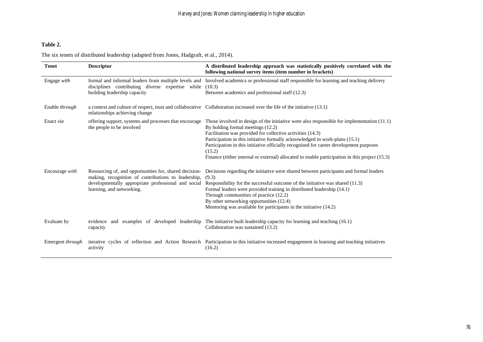# **Table 2.**

The six tenets of distributed leadership (adapted from Jones, Hadgraft, et al., 2014).

| <b>Tenet</b>     | <b>Descriptor</b>                                                                                                                                                                                 | A distributed leadership approach was statistically positively correlated with the<br>following national survey items (item number in brackets)                                                                                                                                                                                                                                                                                                                                      |
|------------------|---------------------------------------------------------------------------------------------------------------------------------------------------------------------------------------------------|--------------------------------------------------------------------------------------------------------------------------------------------------------------------------------------------------------------------------------------------------------------------------------------------------------------------------------------------------------------------------------------------------------------------------------------------------------------------------------------|
| Engage with      | formal and informal leaders from multiple levels and<br>disciplines contributing diverse expertise while<br>building leadership capacity                                                          | Involved academics or professional staff responsible for learning and teaching delivery<br>(10.3)<br>Between academics and professional staff (12.3)                                                                                                                                                                                                                                                                                                                                 |
| Enable through   | relationships achieving change                                                                                                                                                                    | a context and culture of respect, trust and collaborative Collaboration increased over the life of the initiative (13.1)                                                                                                                                                                                                                                                                                                                                                             |
| Enact via        | offering support, systems and processes that encourage<br>the people to be involved                                                                                                               | Those involved in design of the initiative were also responsible for implementation $(11.1)$<br>By holding formal meetings (12.2)<br>Facilitation was provided for collective activities (14.3)<br>Participation in this initiative formally acknowledged in work-plans (15.1)<br>Participation in this initiative officially recognised for career development purposes<br>(15.2)<br>Finance (either internal or external) allocated to enable participation in this project (15.3) |
| Encourage with   | Resourcing of, and opportunities for, shared decision-<br>making, recognition of contributions to leadership,<br>developmentally appropriate professional and social<br>learning, and networking. | Decisions regarding the initiative were shared between participants and formal leaders<br>(9.3)<br>Responsibility for the successful outcome of the initiative was shared (11.3)<br>Formal leaders were provided training in distributed leadership (14.1)<br>Through communities of practice (12.2)<br>By other networking opportunities (12.4)<br>Mentoring was available for participants in the initiative (14.2)                                                                |
| Evaluate $by$    | evidence and examples of developed leadership<br>capacity                                                                                                                                         | The initiative built leadership capacity for learning and teaching $(16.1)$<br>Collaboration was sustained (13.2)                                                                                                                                                                                                                                                                                                                                                                    |
| Emergent through | iterative cycles of reflection and Action Research<br>activity                                                                                                                                    | Participation in this initiative increased engagement in learning and teaching initiatives<br>(16.2)                                                                                                                                                                                                                                                                                                                                                                                 |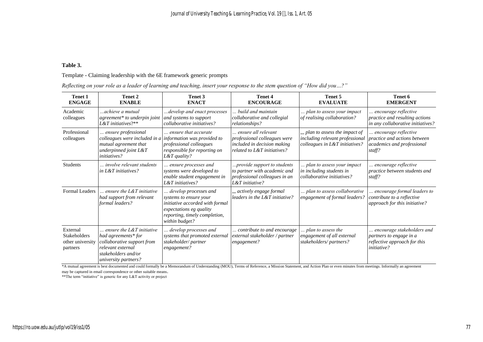## **Table 3.**

## Template - Claiming leadership with the 6E framework generic prompts

|  |  |  | Reflecting on your role as a leader of learning and teaching, insert your response to the stem question of "How did you?" |  |  |  |  |
|--|--|--|---------------------------------------------------------------------------------------------------------------------------|--|--|--|--|
|  |  |  |                                                                                                                           |  |  |  |  |

| <b>Tenet 1</b><br><b>ENGAGE</b>                                 | Tenet 2<br><b>ENABLE</b>                                                                                                                                    | Tenet 3<br><b>ENACT</b>                                                                                                                                          | <b>Tenet 4</b><br><b>ENCOURAGE</b>                                                                                | Tenet 5<br><b>EVALUATE</b>                                                                           | Tenet 6<br><b>EMERGENT</b>                                                                                  |
|-----------------------------------------------------------------|-------------------------------------------------------------------------------------------------------------------------------------------------------------|------------------------------------------------------------------------------------------------------------------------------------------------------------------|-------------------------------------------------------------------------------------------------------------------|------------------------------------------------------------------------------------------------------|-------------------------------------------------------------------------------------------------------------|
| Academic<br>colleagues                                          | achieve a mutual<br>agreement* to underpin joint<br>$L\&T$ initiatives?**                                                                                   | develop and enact processes.<br>and systems to support<br>collaborative initiatives?                                                                             | build and maintain<br>collaborative and collegial<br>relationships?                                               | plan to assess your impact<br>of realising collaboration?                                            | encourage reflective<br>practice and resulting actions<br>in any collaborative initiatives?                 |
| Professional<br>colleagues                                      | ensure professional<br>colleagues were included in a<br>mutual agreement that<br>underpinned joint $L\&T$<br><i>initiatives?</i>                            | ensure that accurate<br>information was provided to<br>professional colleagues<br>responsible for reporting on<br>L&T quality?                                   | ensure all relevant<br>professional colleagues were<br>included in decision making<br>related to L&T initiatives? | ., plan to assess the impact of<br>including relevant professional<br>colleagues in L&T initiatives? | encourage reflective<br>practice and actions between<br>academics and professional<br>staff?                |
| <b>Students</b>                                                 | <i>involve relevant students</i><br>in $L\&T$ initiatives?                                                                                                  | ensure processes and<br>systems were developed to<br>enable student engagement in<br>L&T initiatives?                                                            | provide support to students<br>to partner with academic and<br>professional colleagues in an<br>L&T initiative?   | plan to assess your impact<br>in including students in<br>collaborative initiatives?                 | encourage reflective<br>practice between students and<br>staff?                                             |
| <b>Formal Leaders</b>                                           | ensure the $L\&T$ initiative<br>had support from relevant<br>formal leaders?                                                                                | develop processes and<br>systems to ensure your<br>initiative accorded with formal<br>expectations eg quality<br>reporting, timely completion,<br>within budget? | , actively engage formal<br>leaders in the $L\&T$ initiative?                                                     | plan to assess collaborative<br>engagement of formal leaders?                                        | encourage formal leaders to<br>contribute to a reflective<br>approach for this initiative?                  |
| External<br><b>Stakeholders</b><br>other university<br>partners | $\ldots$ ensure the L&T initiative<br>had agreements* for<br>collaborative support from<br>relevant external<br>stakeholders and/or<br>university partners? | develop processes and<br>systems that promoted external<br>stakeholder/partner<br>engagement?                                                                    | contribute to and encourage<br>external stakeholder / partner<br>engagement?                                      | plan to assess the<br>engagement of all external<br>stakeholders/partners?                           | encourage stakeholders and<br>partners to engage in a<br>reflective approach for this<br><i>initiative?</i> |

\*A mutual agreement is best documented and could formally be a Memorandum of Understanding (MOU), Terms of Reference, a Mission Statement, and Action Plan or even minutes from meetings. Informally an agreement

may be captured in email correspondence or other suitable means.

\*\*The term "initiative" is generic for any L&T activity or project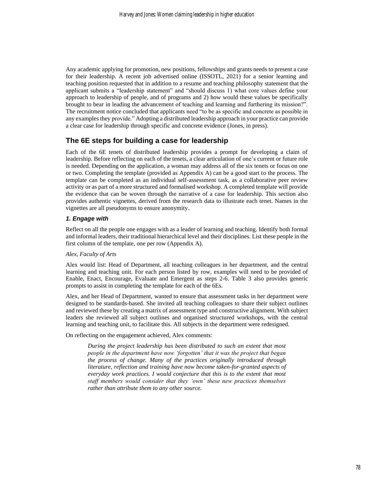Any academic applying for promotion, new positions, fellowships and grants needs to present a case for their leadership. A recent job advertised online (ISSOTL, 2021) for a senior learning and teaching position requested that in addition to a resume and teaching philosophy statement that the applicant submits a "leadership statement" and "should discuss 1) what core values define your approach to leadership of people, and of programs and 2) how would these values be specifically brought to bear in leading the advancement of teaching and learning and furthering its mission?". The recruitment notice concluded that applicants need "to be as specific and concrete as possible in any examples they provide." Adopting a distributed leadership approach in your practice can provide a clear case for leadership through specific and concrete evidence (Jones, in press).

# **The 6E steps for building a case for leadership**

Each of the 6E tenets of distributed leadership provides a prompt for developing a claim of leadership. Before reflecting on each of the tenets, a clear articulation of one's current or future role is needed. Depending on the application, a woman may address all of the six tenets or focus on one or two. Completing the template (provided as Appendix A) can be a good start to the process. The template can be completed as an individual self-assessment task, as a collaborative peer review activity or as part of a more structured and formalised workshop. A completed template will provide the evidence that can be woven through the narrative of a case for leadership. This section also provides authentic vignettes, derived from the research data to illustrate each tenet. Names in the vignettes are all pseudonyms to ensure anonymity.

## *1. Engage with*

Reflect on all the people one engages with as a leader of learning and teaching. Identify both formal and informal leaders, their traditional hierarchical level and their disciplines. List these people in the first column of the template, one per row (Appendix A).

## *Alex, Faculty of Arts*

Alex would list: Head of Department, all teaching colleagues in her department, and the central learning and teaching unit. For each person listed by row, examples will need to be provided of Enable, Enact, Encourage, Evaluate and Emergent as steps 2-6. Table 3 also provides generic prompts to assist in completing the template for each of the 6Es.

Alex, and her Head of Department, wanted to ensure that assessment tasks in her department were designed to be standards-based. She invited all teaching colleagues to share their subject outlines and reviewed these by creating a matrix of assessment type and constructive alignment. With subject leaders she reviewed all subject outlines and organised structured workshops, with the central learning and teaching unit, to facilitate this. All subjects in the department were redesigned.

On reflecting on the engagement achieved, Alex comments:

*During the project leadership has been distributed to such an extent that most people in the department have now 'forgotten' that it was the project that began the process of change. Many of the practices originally introduced through literature, reflection and training have now become taken-for-granted aspects of everyday work practices. I would conjecture that this is to the extent that most staff members would consider that they 'own' these new practices themselves rather than attribute them to any other source.*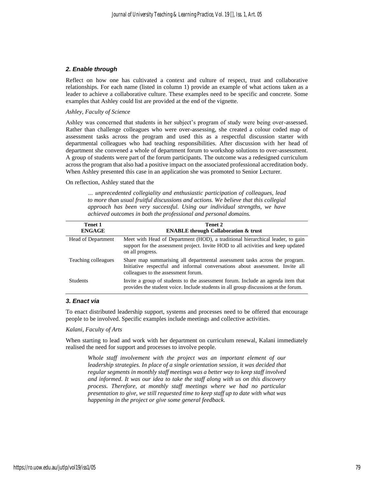#### *2. Enable through*

Reflect on how one has cultivated a context and culture of respect, trust and collaborative relationships. For each name (listed in column 1) provide an example of what actions taken as a leader to achieve a collaborative culture. These examples need to be specific and concrete. Some examples that Ashley could list are provided at the end of the vignette.

#### *Ashley, Faculty of Science*

Ashley was concerned that students in her subject's program of study were being over-assessed. Rather than challenge colleagues who were over-assessing, she created a colour coded map of assessment tasks across the program and used this as a respectful discussion starter with departmental colleagues who had teaching responsibilities. After discussion with her head of department she convened a whole of department forum to workshop solutions to over-assessment. A group of students were part of the forum participants. The outcome was a redesigned curriculum across the program that also had a positive impact on the associated professional accreditation body. When Ashley presented this case in an application she was promoted to Senior Lecturer.

#### On reflection, Ashley stated that the

*… unprecedented collegiality and enthusiastic participation of colleagues, lead to more than usual fruitful discussions and actions. We believe that this collegial approach has been very successful. Using our individual strengths, we have achieved outcomes in both the professional and personal domains.*

| Tenet 1<br><b>ENGAGE</b> | Tenet 2<br><b>ENABLE through Collaboration &amp; trust</b>                                                                                                                                          |
|--------------------------|-----------------------------------------------------------------------------------------------------------------------------------------------------------------------------------------------------|
| Head of Department       | Meet with Head of Department (HOD), a traditional hierarchical leader, to gain<br>support for the assessment project. Invite HOD to all activities and keep updated<br>on all progress.             |
| Teaching colleagues      | Share map summarising all departmental assessment tasks across the program.<br>Initiative respectful and informal conversations about assessment. Invite all<br>colleagues to the assessment forum. |
| <b>Students</b>          | Invite a group of students to the assessment forum. Include an agenda item that<br>provides the student voice. Include students in all group discussions at the forum.                              |

### *3. Enact via*

To enact distributed leadership support, systems and processes need to be offered that encourage people to be involved. Specific examples include meetings and collective activities.

#### *Kalani, Faculty of Arts*

When starting to lead and work with her department on curriculum renewal, Kalani immediately realised the need for support and processes to involve people.

*Whole staff involvement with the project was an important element of our leadership strategies. In place of a single orientation session, it was decided that regular segments in monthly staff meetings was a better way to keep staff involved and informed. It was our idea to take the staff along with us on this discovery process. Therefore, at monthly staff meetings where we had no particular presentation to give, we still requested time to keep staff up to date with what was happening in the project or give some general feedback.*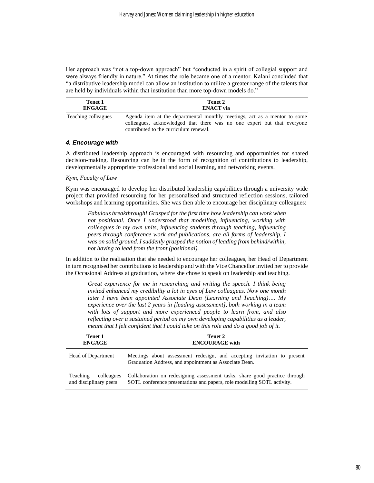Her approach was "not a top-down approach" but "conducted in a spirit of collegial support and were always friendly in nature." At times the role became one of a mentor. Kalani concluded that "a distributive leadership model can allow an institution to utilize a greater range of the talents that are held by individuals within that institution than more top-down models do."

| Tenet 1             | Tenet 2                                                                                                                                                                                        |
|---------------------|------------------------------------------------------------------------------------------------------------------------------------------------------------------------------------------------|
| <b>ENGAGE</b>       | <b>ENACT</b> via                                                                                                                                                                               |
| Teaching colleagues | Agenda item at the departmental monthly meetings, act as a mentor to some<br>colleagues, acknowledged that there was no one expert but that everyone<br>contributed to the curriculum renewal. |

#### *4. Encourage with*

A distributed leadership approach is encouraged with resourcing and opportunities for shared decision-making. Resourcing can be in the form of recognition of contributions to leadership, developmentally appropriate professional and social learning, and networking events.

#### *Kym, Faculty of Law*

Kym was encouraged to develop her distributed leadership capabilities through a university wide project that provided resourcing for her personalised and structured reflection sessions, tailored workshops and learning opportunities. She was then able to encourage her disciplinary colleagues:

*Fabulous breakthrough! Grasped for the first time how leadership can work when not positional. Once I understood that modelling, influencing, working with colleagues in my own units, influencing students through teaching, influencing peers through conference work and publications, are all forms of leadership, I was on solid ground. I suddenly grasped the notion of leading from behind/within, not having to lead from the front (positional).*

In addition to the realisation that she needed to encourage her colleagues, her Head of Department in turn recognised her contributions to leadership and with the Vice Chancellor invited her to provide the Occasional Address at graduation, where she chose to speak on leadership and teaching.

*Great experience for me in researching and writing the speech. I think being invited enhanced my credibility a lot in eyes of Law colleagues. Now one month later I have been appointed Associate Dean (Learning and Teaching)…. My experience over the last 2 years in [leading assessment], both working in a team with lots of support and more experienced people to learn from, and also reflecting over a sustained period on my own developing capabilities as a leader, meant that I felt confident that I could take on this role and do a good job of it.*

| Tenet 1<br><b>ENGAGE</b>                         | Tenet 2<br><b>ENCOURAGE</b> with                                                                                                                      |  |  |  |  |
|--------------------------------------------------|-------------------------------------------------------------------------------------------------------------------------------------------------------|--|--|--|--|
| <b>Head of Department</b>                        | Meetings about assessment redesign, and accepting invitation to present<br>Graduation Address, and appointment as Associate Dean.                     |  |  |  |  |
| colleagues<br>Teaching<br>and disciplinary peers | Collaboration on redesigning assessment tasks, share good practice through<br>SOTL conference presentations and papers, role modelling SOTL activity. |  |  |  |  |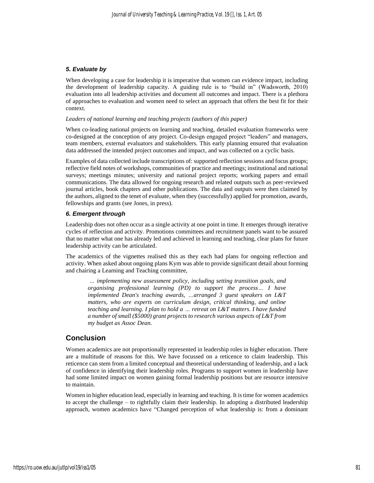### *5. Evaluate by*

When developing a case for leadership it is imperative that women can evidence impact, including the development of leadership capacity. A guiding rule is to "build in" (Wadsworth, 2010) evaluation into all leadership activities and document all outcomes and impact. There is a plethora of approaches to evaluation and women need to select an approach that offers the best fit for their context.

#### *Leaders of national learning and teaching projects (authors of this paper)*

When co-leading national projects on learning and teaching, detailed evaluation frameworks were co-designed at the conception of any project. Co-design engaged project "leaders" and managers, team members, external evaluators and stakeholders. This early planning ensured that evaluation data addressed the intended project outcomes and impact, and was collected on a cyclic basis.

Examples of data collected include transcriptions of: supported reflection sessions and focus groups; reflective field notes of workshops, communities of practice and meetings; institutional and national surveys; meetings minutes; university and national project reports; working papers and email communications. The data allowed for ongoing research and related outputs such as peer-reviewed journal articles, book chapters and other publications. The data and outputs were then claimed by the authors, aligned to the tenet of evaluate, when they (successfully) applied for promotion, awards, fellowships and grants (see Jones, in press).

#### *6. Emergent through*

Leadership does not often occur as a single activity at one point in time. It emerges through iterative cycles of reflection and activity. Promotions committees and recruitment panels want to be assured that no matter what one has already led and achieved in learning and teaching, clear plans for future leadership activity can be articulated.

The academics of the vignettes realised this as they each had plans for ongoing reflection and activity. When asked about ongoing plans Kym was able to provide significant detail about forming and chairing a Learning and Teaching committee,

*… implementing new assessment policy, including setting transition goals, and organising professional learning (PD) to support the process… I have implemented Dean's teaching awards, …arranged 3 guest speakers on L&T matters, who are experts on curriculum design, critical thinking, and online teaching and learning. I plan to hold a … retreat on L&T matters. I have funded a number of small (\$5000) grant projects to research various aspects of L&T from my budget as Assoc Dean.*

## **Conclusion**

Women academics are not proportionally represented in leadership roles in higher education. There are a multitude of reasons for this. We have focussed on a reticence to claim leadership. This reticence can stem from a limited conceptual and theoretical understanding of leadership, and a lack of confidence in identifying their leadership roles. Programs to support women in leadership have had some limited impact on women gaining formal leadership positions but are resource intensive to maintain.

Women in higher education lead, especially in learning and teaching. It is time for women academics to accept the challenge – to rightfully claim their leadership. In adopting a distributed leadership approach, women academics have "Changed perception of what leadership is: from a dominant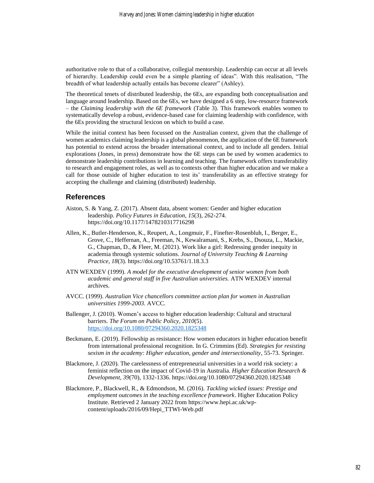authoritative role to that of a collaborative, collegial mentorship. Leadership can occur at all levels of hierarchy. Leadership could even be a simple planting of ideas". With this realisation, "The breadth of what leadership actually entails has become clearer" (Ashley).

The theoretical tenets of distributed leadership, the 6Es, are expanding both conceptualisation and language around leadership. Based on the 6Es, we have designed a 6 step, low-resource framework – the *Claiming leadership with the 6E framework* (Table 3). This framework enables women to systematically develop a robust, evidence-based case for claiming leadership with confidence, with the 6Es providing the structural lexicon on which to build a case.

While the initial context has been focussed on the Australian context, given that the challenge of women academics claiming leadership is a global phenomenon, the application of the 6E framework has potential to extend across the broader international context, and to include all genders. Initial explorations (Jones, in press) demonstrate how the 6E steps can be used by women academics to demonstrate leadership contributions in learning and teaching. The framework offers transferability to research and engagement roles, as well as to contexts other than higher education and we make a call for those outside of higher education to test its' transferability as an effective strategy for accepting the challenge and claiming (distributed) leadership.

## **References**

- Aiston, S. & Yang, Z. (2017). Absent data, absent women: Gender and higher education leadership. *Policy Futures in Education*, *15*(3), 262-274. https://doi.org/10.1177/1478210317716298
- Allen, K., Butler-Henderson, K., Reupert, A., Longmuir, F., Finefter-Rosenbluh, I., Berger, E., Grove, C., Heffernan, A., Freeman, N., Kewalramani, S., Krebs, S., Dsouza, L., Mackie, G., Chapman, D., & Fleer, M. (2021). Work like a girl: Redressing gender inequity in academia through systemic solutions. *Journal of University Teaching & Learning Practice, 18*(3). https://doi.org/10.53761/1.18.3.3
- ATN WEXDEV (1999). *A model for the executive development of senior women from both academic and general staff in five Australian universities.* ATN WEXDEV internal archives.
- AVCC. (1999). *Australian Vice chancellors committee action plan for women in Australian universities 1999-2003.* AVCC.
- Ballenger, J. (2010). Women's access to higher education leadership: Cultural and structural barriers. *The Forum on Public Policy, 2010*(5). <https://doi.org/10.1080/07294360.2020.1825348>
- Beckmann, E. (2019). Fellowship as resistance: How women educators in higher education benefit from international professional recognition. In G. Crimmins (Ed). *Strategies for resisting sexism in the academy: Higher education, gender and intersectionality*, 55-73. Springer.
- Blackmore, J. (2020). The carelessness of entrepreneurial universities in a world risk society: a feminist reflection on the impact of Covid-19 in Australia. *Higher Education Research & Development, 39*(70), 1332-1336. https://doi.org/10.1080/07294360.2020.1825348
- Blackmore, P., Blackwell, R., & Edmondson, M. (2016). *Tackling wicked issues: Prestige and employment outcomes in the teaching excellence framework*. Higher Education Policy Institute. Retrieved 2 January 2022 from https://www.hepi.ac.uk/wpcontent/uploads/2016/09/Hepi\_TTWI-Web.pdf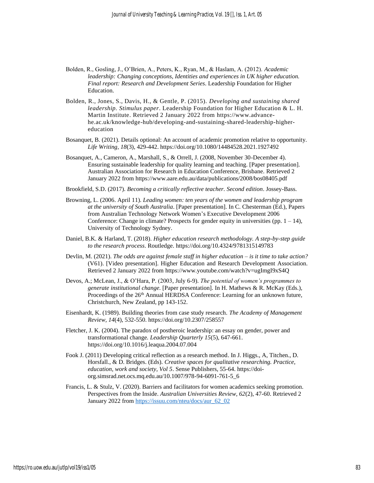- Bolden, R., Gosling, J., O'Brien, A., Peters, K., Ryan, M., & Haslam, A. (2012). *Academic leadership: Changing conceptions, Identities and experiences in UK higher education. Final report: Research and Development Series*. Leadership Foundation for Higher Education.
- Bolden, R., Jones, S., Davis, H., & Gentle, P. (2015). *Developing and sustaining shared leadership. Stimulus paper*. Leadership Foundation for Higher Education & L. H. Martin Institute. Retrieved 2 January 2022 from https://www.advancehe.ac.uk/knowledge-hub/developing-and-sustaining-shared-leadership-highereducation
- Bosanquet, B. (2021). Details optional: An account of academic promotion relative to opportunity*. Life Writing, 18*(3), 429-442. https://doi.org/10.1080/14484528.2021.1927492
- Bosanquet, A., Cameron, A., Marshall, S., & Orrell, J. (2008, November 30-December 4). Ensuring sustainable leadership for quality learning and teaching. [Paper presentation]. Australian Association for Research in Education Conference, Brisbane. Retrieved 2 January 2022 from https://www.aare.edu.au/data/publications/2008/bos08405.pdf
- Brookfield, S.D. (2017). *Becoming a critically reflective teacher. Second edition*. Jossey-Bass.
- Browning, L. (2006. April 11). *Leading women: ten years of the women and leadership program at the university of South Australia*. [Paper presentation]. In C. Chesterman (Ed.), Papers from Australian Technology Network Women's Executive Development 2006 Conference: Change in climate? Prospects for gender equity in universities (pp.  $1 - 14$ ), University of Technology Sydney.
- Daniel, B.K. & Harland, T. (2018). *Higher education research methodology. A step-by-step guide to the research process*. Routledge. https://doi.org/10.4324/9781315149783
- Devlin, M. (2021). *The odds are against female staff in higher education – is it time to take action?*  (V61). [Video presentation]. Higher Education and Research Development Association. Retrieved 2 January 2022 from https://www.youtube.com/watch?v=ugImgI9xS4Q
- Devos, A.; McLean, J., & O'Hara, P. (2003, July 6-9). *The potential of women's programmes to generate institutional change.* [Paper presentation]. In H. Mathews & R. McKay (Eds.), Proceedings of the 26<sup>th</sup> Annual HERDSA Conference: Learning for an unknown future, Christchurch, New Zealand, pp 143-152.
- Eisenhardt, K. (1989). Building theories from case study research. *The Academy of Management Review, 14*(4), 532-550. https://doi.org/10.2307/258557
- Fletcher, J. K. (2004). The paradox of postheroic leadership: an essay on gender, power and transformational change. *Leadership Quarterly 15*(5), 647-661. https://doi.org/10.1016/j.leaqua.2004.07.004
- Fook J. (2011) Developing critical reflection as a research method. In J. Higgs., A, Titchen., D. Horsfall., & D. Bridges. (Eds). *Creative spaces for qualitative researching. Practice, education, work and society, Vol 5*. Sense Publishers, 55-64. https://doiorg.simsrad.net.ocs.mq.edu.au/10.1007/978-94-6091-761-5\_6
- Francis, L. & Stulz, V. (2020). Barriers and facilitators for women academics seeking promotion. Perspectives from the Inside. *Australian Universities Review, 62*(2), 47-60. Retrieved 2 January 2022 from [https://issuu.com/nteu/docs/aur\\_62\\_02](https://issuu.com/nteu/docs/aur_62_02)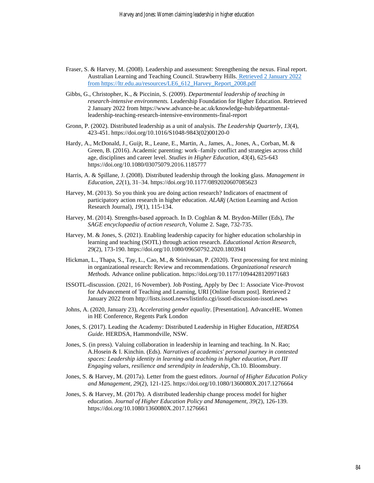- Fraser, S. & Harvey, M. (2008). Leadership and assessment: Strengthening the nexus. Final report. Australian Learning and Teaching Council. Strawberry Hills. [Retrieved 2 January 2022](file:///C:/Users/jokel/Downloads/Retrieved%202%20January%202022%20from%20https:/ltr.edu.au/resources/LE6_612_Harvey_Report_2008.pdf)  [from https://ltr.edu.au/resources/LE6\\_612\\_Harvey\\_Report\\_2008.pdf](file:///C:/Users/jokel/Downloads/Retrieved%202%20January%202022%20from%20https:/ltr.edu.au/resources/LE6_612_Harvey_Report_2008.pdf)
- Gibbs, G., Christopher, K., & Piccinin, S. (2009). *Departmental leadership of teaching in research-intensive environments.* Leadership Foundation for Higher Education. Retrieved 2 January 2022 from https://www.advance-he.ac.uk/knowledge-hub/departmentalleadership-teaching-research-intensive-environments-final-report
- Gronn, P. (2002). Distributed leadership as a unit of analysis. *The Leadership Quarterly*, *13*(4), 423-451. [https://doi.org/10.1016/S1048-9843\(02\)00120-0](https://doi.org/10.1016/S1048-9843(02)00120-0)
- Hardy, A., McDonald, J., Guijt, R., Leane, E., Martin, A., James, A., Jones, A., Corban, M. & Green, B. (2016). Academic parenting: work–family conflict and strategies across child age, disciplines and career level. *Studies in Higher Education, 43*(4), 625-643 https://doi.org/10.1080/03075079.2016.1185777
- Harris, A. & Spillane, J. (2008). Distributed leadership through the looking glass. *Management in Education, 22*(1), 31–34. https://doi.org/10.1177/0892020607085623
- Harvey, M. (2013). So you think you are doing action research? Indicators of enactment of participatory action research in higher education. *ALARj* (Action Learning and Action Research Journal), *19*(1), 115-134.
- Harvey, M. (2014). Strengths-based approach. In D. Coghlan & M. Brydon-Miller (Eds), *The SAGE encyclopaedia of action research*, Volume 2. Sage, 732-735.
- Harvey, M. & Jones, S. (2021). Enabling leadership capacity for higher education scholarship in learning and teaching (SOTL) through action research. *Educational Action Research*, 29(2), 173-190[. https://doi.org/10.1080/09650792.2020.1803941](https://doi.org/10.1080/09650792.2020.1803941)
- Hickman, L., Thapa, S., Tay, L., Cao, M., & Srinivasan, P. (2020). Text processing for text mining in organizational research: Review and recommendations. *Organizational research Methods.* Advance online publication. [https://doi.org/10.1177/1094428120971683](https://doi.org/10.1177%2F1094428120971683)
- ISSOTL-discussion. (2021, 16 November). Job Posting, Apply by Dec 1: Associate Vice-Provost for Advancement of Teaching and Learning, URI [Online forum post]. Retrieved 2 January 2022 from http://lists.issotl.news/listinfo.cgi/issotl-discussion-issotl.news
- Johns, A. (2020, January 23), *Accelerating gender equality*. [Presentation]. AdvanceHE. Women in HE Conference, Regents Park London
- Jones, S. (2017). Leading the Academy: Distributed Leadership in Higher Education, *HERDSA Guide.* HERDSA, Hammondville, NSW.
- Jones, S. (in press). Valuing collaboration in leadership in learning and teaching. In N. Rao; A.Hosein & I. Kinchin. (Eds). *Narratives of academics' personal journey in contested spaces: Leadership identity in learning and teaching in higher education, Part III Engaging values, resilience and serendipity in leadership*, Ch.10. Bloomsbury.
- Jones, S. & Harvey, M. (2017a). Letter from the guest editors. *Journal of Higher Education Policy and Management, 29*(2), 121-125. https://doi.org/10.1080/1360080X.2017.1276664
- Jones, S. & Harvey, M. (2017b). A distributed leadership change process model for higher education. *Journal of Higher Education Policy and Management, 39*(2), 126-139. <https://doi.org/10.1080/1360080X.2017.1276661>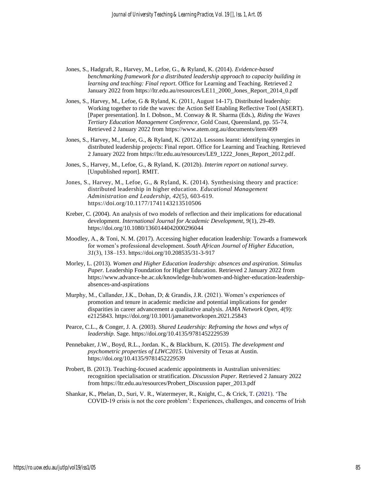- Jones, S., Hadgraft, R., Harvey, M., Lefoe, G., & Ryland, K. (2014). *Evidence-based benchmarking framework for a distributed leadership approach to capacity building in learning and teaching: Final report*. Office for Learning and Teaching. Retrieved 2 January 2022 from https://ltr.edu.au/resources/LE11\_2000\_Jones\_Report\_2014\_0.pdf
- Jones, S., Harvey, M., Lefoe, G & Ryland, K. (2011, August 14-17). Distributed leadership: Working together to ride the waves: the Action Self Enabling Reflective Tool (ASERT). [Paper presentation]. In I. Dobson., M. Conway & R. Sharma (Eds.), *Riding the Waves Tertiary Education Management Conference*, Gold Coast, Queensland, pp. 55-74. Retrieved 2 January 2022 from https://www.atem.org.au/documents/item/499
- Jones, S., Harvey, M., Lefoe, G., & Ryland, K. (2012a). Lessons learnt: identifying synergies in distributed leadership projects: Final report. Office for Learning and Teaching. Retrieved 2 January 2022 from https://ltr.edu.au/resources/LE9\_1222\_Jones\_Report\_2012.pdf.
- Jones, S., Harvey, M., Lefoe, G., & Ryland, K. (2012b). *Interim report on national survey*. [Unpublished report]. RMIT.
- Jones, S., Harvey, M., Lefoe, G., & Ryland, K. (2014). Synthesising theory and practice: distributed leadership in higher education. *Educational Management Administration and Leadership, 42*(5), 603-619. https://doi.org/10.1177/1741143213510506
- Kreber, C. (2004). An analysis of two models of reflection and their implications for educational development. *International Journal for Academic Development, 9*(1), 29-49. <https://doi.org/10.1080/1360144042000296044>
- Moodley, A., & Toni, N. M. (2017). Accessing higher education leadership: Towards a framework for women's professional development. *South African Journal of Higher Education, 31*(3), 138‒153. https://doi.org/10.208535/31-3-917
- Morley, L. (2013). *Women and Higher Education leadership: absences and aspiration. Stimulus Paper.* Leadership Foundation for Higher Education. Retrieved 2 January 2022 from https://www.advance-he.ac.uk/knowledge-hub/women-and-higher-education-leadershipabsences-and-aspirations
- Murphy, M., Callander, J.K., Dohan, D; & Grandis, J.R. (2021). Women's experiences of promotion and tenure in academic medicine and potential implications for gender disparities in career advancement a qualitative analysis. *JAMA Network Open, 4*(9): e2125843. https://doi.org/10.1001/jamanetworkopen.2021.25843
- Pearce, C.L., & Conger, J. A. (2003). *Shared Leadership: Reframing the hows and whys of leadership.* Sage. https://doi.org/10.4135/9781452229539
- Pennebaker, J.W., Boyd, R.L., Jordan. K., & Blackburn, K. (2015). *The development and psychometric properties of LIWC2015*. University of Texas at Austin. https://doi.org/10.4135/9781452229539
- Probert, B. (2013). Teaching-focused academic appointments in Australian universities: recognition specialisation or stratification. *Discussion Paper.* Retrieved 2 January 2022 from https://ltr.edu.au/resources/Probert\_Discussion paper\_2013.pdf
- Shankar, K., Phelan, D., Suri, V. R., Watermeyer, R., Knight, C., & Crick, T. (2021). 'The COVID-19 crisis is not the core problem': Experiences, challenges, and concerns of Irish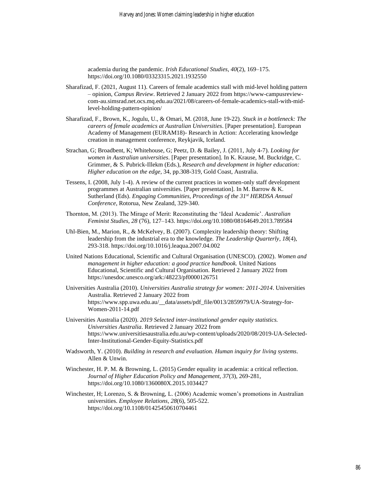academia during the pandemic. *Irish Educational Studies, 40*(2), 169–175. https://doi.org/10.1080/03323315.2021.1932550

- Sharafizad, F. (2021, August 11). Careers of female academics stall with mid-level holding pattern – opinion, *Campus Review*. Retrieved 2 January 2022 from https://www-campusreviewcom-au.simsrad.net.ocs.mq.edu.au/2021/08/careers-of-female-academics-stall-with-midlevel-holding-pattern-opinion/
- Sharafizad, F., Brown, K., Jogulu, U., & Omari, M. (2018, June 19-22). *Stuck in a bottleneck: The careers of female academics at Australian Universities*. [Paper presentation]. European Academy of Management (EURAM18)- Research in Action: Accelerating knowledge creation in management conference, Reykjavik, Iceland.
- Strachan, G; Broadbent, K; Whitehouse, G; Peetz, D. & Bailey, J. (2011, July 4-7). *Looking for women in Australian universities*. [Paper presentation]. In K. Krause, M. Buckridge, C. Grimmer, & S. Pubrick-Illekm (Eds.), *Research and development in higher education: Higher education on the edge,* 34, pp.308-319, Gold Coast, Australia.
- Tessens, I. (2008, July 1-4). A review of the current practices in women-only staff development programmes at Australian universities. [Paper presentation]. In M. Barrow & K. Sutherland (Eds). *Engaging Communities, Proceedings of the 31st HERDSA Annual Conference*, Rotorua, New Zealand, 329-340.
- Thornton, M. (2013). The Mirage of Merit: Reconstituting the 'Ideal Academic'. *Australian Feminist Studies, 28* (76), 127–143. https://doi.org/10.1080/08164649.2013.789584
- Uhl-Bien, M., Marion, R., & McKelvey, B. (2007). Complexity leadership theory: Shifting leadership from the industrial era to the knowledge. *The Leadership Quarterly*, *18*(4), 293-318. [https://doi.org/10.1016/j.leaqua.2007.04.002](https://psycnet.apa.org/doi/10.1016/j.leaqua.2007.04.002)
- United Nations Educational, Scientific and Cultural Organisation (UNESCO). (2002). *Women and management in higher education: a good practice handbook.* United Nations Educational, Scientific and Cultural Organisation. Retrieved 2 January 2022 from https://unesdoc.unesco.org/ark:/48223/pf0000126751
- Universities Australia (2010). *Universities Australia strategy for women: 2011-2014*. Universities Australia. Retrieved 2 January 2022 from https://www.spp.uwa.edu.au/\_\_data/assets/pdf\_file/0013/2859979/UA-Strategy-for-Women-2011-14.pdf
- Universities Australia (2020). *2019 Selected inter-institutional gender equity statistics. Universities Australia*. Retrieved 2 January 2022 from https://www.universitiesaustralia.edu.au/wp-content/uploads/2020/08/2019-UA-Selected-Inter-Institutional-Gender-Equity-Statistics.pdf
- Wadsworth, Y. (2010). *Building in research and evaluation. Human inquiry for living systems*. Allen & Unwin.
- Winchester, H. P. M. & Browning, L. (2015) Gender equality in academia: a critical reflection. *Journal of Higher Education Policy and Management, 37*(3), 269-281, https://doi.org/10.1080/1360080X.2015.1034427
- Winchester, H; Lorenzo, S. & Browning, L. (2006) Academic women's promotions in Australian universities. *Employee Relations*, *28*(6), 505-522. <https://doi.org/10.1108/01425450610704461>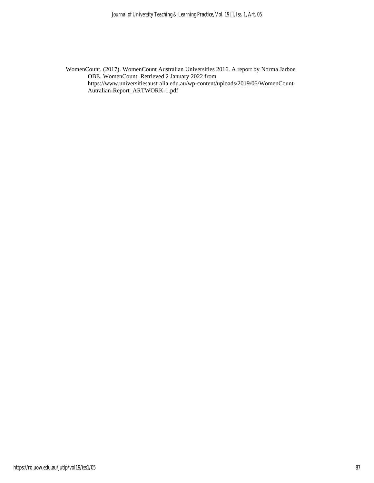WomenCount. (2017). WomenCount Australian Universities 2016. A report by Norma Jarboe OBE. WomenCount. Retrieved 2 January 2022 from https://www.universitiesaustralia.edu.au/wp-content/uploads/2019/06/WomenCount-Autralian-Report\_ARTWORK-1.pdf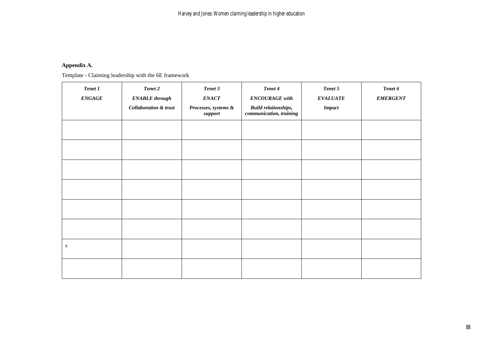# **Appendix A.**

Template - Claiming leadership with the 6E framework

| Tenet 1<br><b>ENGAGE</b> | Tenet 2<br><b>ENABLE</b> through<br><b>Collaboration &amp; trust</b> | Tenet 3<br><b>ENACT</b><br>Processes, systems &<br>support | Tenet 4<br><b>ENCOURAGE</b> with<br><b>Build relationships,</b><br>communication, training | Tenet 5<br><b>EVALUATE</b><br>$\boldsymbol{Im} \boldsymbol{p} act$ | Tenet 6<br><b>EMERGENT</b> |
|--------------------------|----------------------------------------------------------------------|------------------------------------------------------------|--------------------------------------------------------------------------------------------|--------------------------------------------------------------------|----------------------------|
|                          |                                                                      |                                                            |                                                                                            |                                                                    |                            |
|                          |                                                                      |                                                            |                                                                                            |                                                                    |                            |
|                          |                                                                      |                                                            |                                                                                            |                                                                    |                            |
|                          |                                                                      |                                                            |                                                                                            |                                                                    |                            |
|                          |                                                                      |                                                            |                                                                                            |                                                                    |                            |
|                          |                                                                      |                                                            |                                                                                            |                                                                    |                            |
| $\mathbf X$              |                                                                      |                                                            |                                                                                            |                                                                    |                            |
|                          |                                                                      |                                                            |                                                                                            |                                                                    |                            |